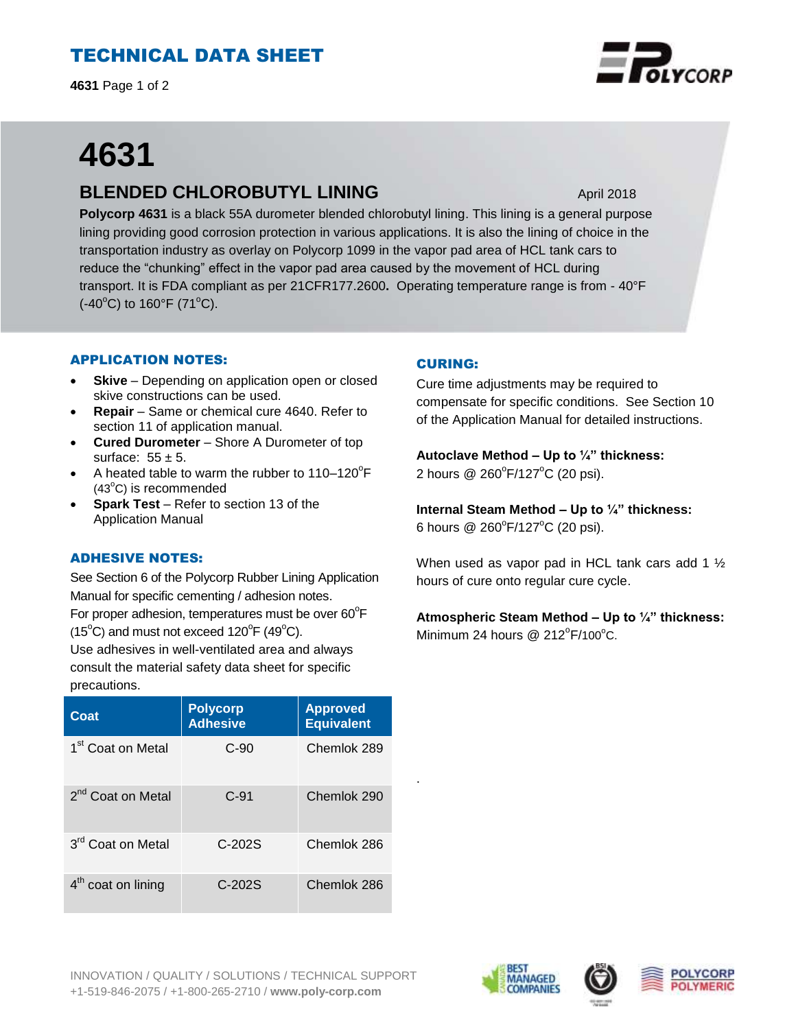# TECHNICAL DATA SHEET

**4631** Page 1 of 2

# **4631**

# **BLENDED CHLOROBUTYL LINING** April 2018

**Polycorp 4631** is a black 55A durometer blended chlorobutyl lining. This lining is a general purpose lining providing good corrosion protection in various applications. It is also the lining of choice in the transportation industry as overlay on Polycorp 1099 in the vapor pad area of HCL tank cars to reduce the "chunking" effect in the vapor pad area caused by the movement of HCL during transport. It is FDA compliant as per 21CFR177.2600**.** Operating temperature range is from - 40°F  $(-40^{\circ}C)$  to 160°F (71°C).

## APPLICATION NOTES:

- **Skive** Depending on application open or closed skive constructions can be used.
- **Repair**  Same or chemical cure 4640. Refer to section 11 of application manual.
- **Cured Durometer**  Shore A Durometer of top surface:  $55 \pm 5$ .
- A heated table to warm the rubber to  $110-120^{\circ}F$  $(43^{\circ}C)$  is recommended
- **Spark Test**  Refer to section 13 of the Application Manual

#### ADHESIVE NOTES:

See Section 6 of the Polycorp Rubber Lining Application Manual for specific cementing / adhesion notes. For proper adhesion, temperatures must be over  $60^{\circ}$ F  $(15^{\circ}C)$  and must not exceed  $120^{\circ}F(49^{\circ}C)$ .

Use adhesives in well-ventilated area and always consult the material safety data sheet for specific precautions.

| Coat                          | <b>Polycorp</b><br><b>Adhesive</b> | <b>Approved</b><br><b>Equivalent</b> |
|-------------------------------|------------------------------------|--------------------------------------|
| 1 <sup>st</sup> Coat on Metal | $C-90$                             | Chemlok 289                          |
| 2 <sup>nd</sup> Coat on Metal | $C-91$                             | Chemlok 290                          |
| 3 <sup>rd</sup> Coat on Metal | $C-202S$                           | Chemlok 286                          |
| $4th$ coat on lining          | $C-202S$                           | Chemlok 286                          |

## CURING:

.

Cure time adjustments may be required to compensate for specific conditions. See Section 10 of the Application Manual for detailed instructions.

**Autoclave Method – Up to ¼" thickness:** 2 hours @ 260°F/127°C (20 psi).

**Internal Steam Method – Up to ¼" thickness:**  6 hours @ 260°F/127°C (20 psi).

When used as vapor pad in HCL tank cars add 1 1/2 hours of cure onto regular cure cycle.

**Atmospheric Steam Method – Up to ¼" thickness:** Minimum 24 hours  $@$  212 $^{\circ}$ F/100 $^{\circ}$ C.